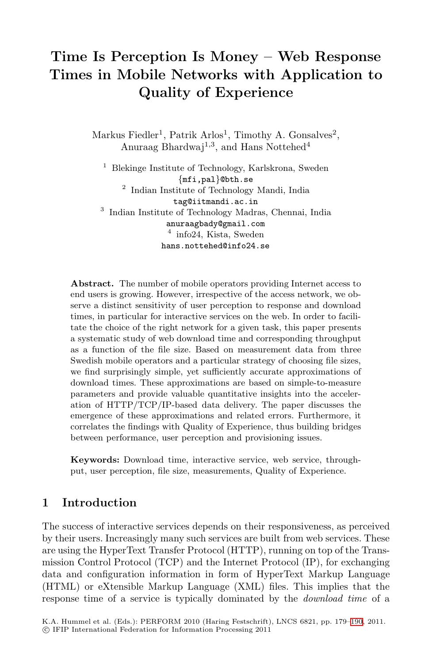# **Time Is Perception Is Money – Web Response Times in Mobile Networks with Application to Quality of Experience**

Markus Fiedler<sup>1</sup>, Patrik Arlos<sup>1</sup>, Timothy A. Gonsalves<sup>2</sup>, Anuraag Bhardwaj<sup>1</sup>*,*<sup>3</sup>, and Hans Nottehed<sup>4</sup>

<sup>1</sup> Blekinge Institute of Technology, Karlskrona, Sweden {mfi,pal}@bth.se <sup>2</sup> Indian Institute of Technology Mandi, India tag@iitmandi.ac.in <sup>3</sup> Indian Institute of Technology Madras, Chennai, India anuraagbady@gmail.com <sup>4</sup> info24, Kista, Sweden hans.nottehed@info24.se

**Abstract.** The number of mobile operators providing Internet access to end users is growing. However, irrespective of the access network, we observe a distinct sensitivity of user perception to response and download times, in particular for interactive services on the web. In order to facilitate the choice of the right network for a given task, this paper presents a systematic study of web download time and corresponding throughput as a function of the file size. Based on measurement data from three Swedish mobile operators and a particular strategy of choosing file sizes, we find surprisingly simple, yet sufficiently accurate approximations of download times. These approximations are based on simple-to-measure parameters and provide valuable quantitative insights into the acceleration of HTTP/TCP/IP-based data delivery. The paper discusses the emergence of these approximations and related errors. Furthermore, it correlates the findings with Quality of Experience, thus building bridges between performance, user perception and provisioning issues.

**Keywords:** Download time, interactive service, web service, throughput, user perception, file size, measurements, Quality of Experience.

### **1 Introduction**

The success of interactive services depends on their [res](#page-11-0)ponsiveness, as perceived by their users. Increasingly many such services are built from web services. These are using the HyperText Transfer Protocol (HTTP), running on top of the Transmission Control Protocol (TCP) and the Internet Protocol (IP), for exchanging data and configuration information in form of HyperText Markup Language (HTML) or eXtensible Markup Language (XML) files. This implies that the response time of a service is typically dominated by the *download time* of a

K.A. Hummel et al. (Eds.): PERFORM 2010 (Haring Festschrift), LNCS 6821, pp. 179–190, 2011. -c IFIP International Federation for Information Processing 2011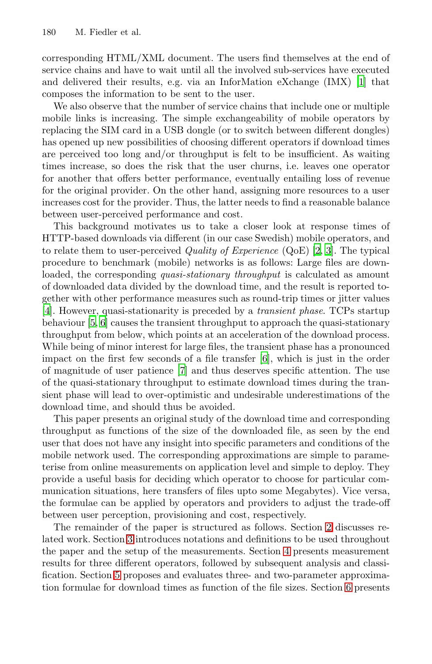corresponding HTML/XML document. The users find themselves at the end of service chains and have to wait until all the involved sub-services have executed and delivered their results, e.g. via an InforMation eXchange (IMX) [1] that composes the information to be sent to the user.

We also observe that the number of service chains that include one or multiple mobile links is increasing. The simple exchangeability of mobile operators by replacing the SIM card in a USB dongle (or to switch between different dongles) has opened up new possibilities of choosing different operators if download times are perceived too long and/or throughput [is](#page-10-0) [fe](#page-10-1)lt to be insufficient. As waiting times increase, so does the risk that the user churns, i.e. leaves one operator for another that offers better performance, eventually entailing loss of revenue for the original provider. On the other hand, assigning more resources to a user increases cost for the provider. Thus, the latter needs to find a reasonable balance between user-perceived performance and cost.

This background motivates us to take a closer look at response times of HTTP-based downloads via different (in our case Swedish) mobile operators, and to relate them to user-perceived *Quality of Experience* (QoE) [2, 3]. The typical procedure to benchmark (mob[ile](#page-10-2)) networks is as follows: Large files are downloaded, the [co](#page-10-3)rresponding *quasi-stationary throughput* is calculated as amount of downloaded data divided by the download time, and the result is reported together with other performance measures such as round-trip times or jitter values [4]. However, quasi-stationarity is preceded by a *transient phase*. TCPs startup behaviour [5, 6] causes the transient throughput to approach the quasi-stationary throughput from below, which points at an acceleration of the download process. While being of minor interest for large files, the transient phase has a pronounced impact on the first few seconds of a file transfer [6], which is just in the order of magnitude of user patience [7] and thus deserves specific attention. The use of the quasi-stationary throughput to estimate download times during the transient phase will lead to over-optimistic and undesirable underestimations of the download time, and should thus be avoided.

This paper presents an original study of the download time and corresponding throughput as functions of the size of the do[wn](#page-2-0)loaded file, as seen by the end [us](#page-2-1)er that does not have any insight into specific parameters and conditions of the mobile network used. The correspo[ndi](#page-3-0)ng approximations are simple to parameterise from online measurements on application level and simple to deploy. They provide a useful basis for deciding which operator to choose for particular communication situations, here transfers of files upto [so](#page-8-0)me Megabytes). Vice versa, the formulae can be applied by operators and providers to adjust the trade-off between user perception, provisioning and cost, respectively.

The remainder of the paper is structured as follows. Section 2 discusses related work. Section 3 introduces notations and definitions to be used throughout the paper and the setup of the measurements. Section 4 presents measurement results for three different operators, followed by subsequent analysis and classification. Section 5 proposes and evaluates three- and two-parameter approximation formulae for download times as function of the file sizes. Section 6 presents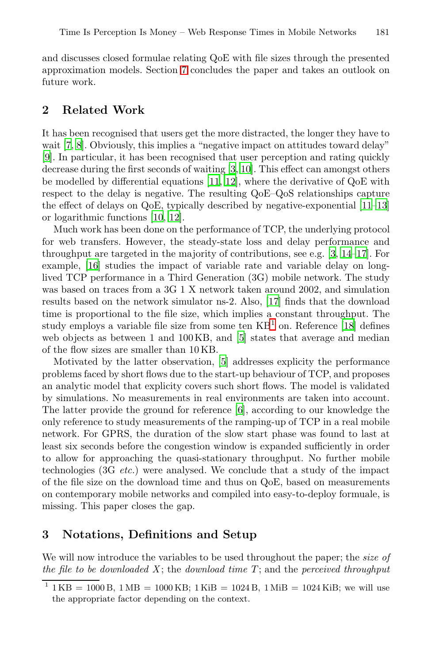<span id="page-2-0"></span>and discusses closed formulae relating QoE with file sizes through the presented approximation models. [Se](#page-10-1)[ctio](#page-10-4)n 7 concludes the paper and takes an outlook on future work.

# **2 Related Work**

It has [bee](#page-10-4)[n](#page-11-1) [re](#page-11-1)cognised that users get the more distracted, the longer they have to wait [7, 8]. Obviously, this implies a "negative impact on attitudes toward delay" [9]. In particular, it has been recognised that u[se](#page-10-1)[r pe](#page-11-2)[rce](#page-11-3)ption and rating quickly decrease during the first seconds of waiting [3, 10]. This effect can amongst others be modelled by differential equations [11, 12], where the derivative of QoE with respect to the delay is negative. The resulting QoE–QoS relationships capture the effect of delays on QoE, typi[cal](#page-11-3)ly described by negative-exponential [11–13] or logarithmic functions [10, 12].

Much work has been done on t[he](#page-2-2) performance o[f TC](#page-11-4)P, the underlying protocol for web transfers. Howev[er](#page-10-5), the steady-state loss and delay performance and throughput are targeted in the majority of contributions, see e.g. [3, 14–17]. For example, [16] studies [t](#page-10-5)he impact of variable rate and variable delay on longlived TCP performance in a Third Generation (3G) mobile network. The study was based on traces from a 3G 1 X network taken around 2002, and simulation results based on the network simulator ns-2. Also, [17] finds that the download time is proportional to t[he](#page-10-2) file size, which implies a constant throughput. The study employs a variable file size from some ten  $KB<sup>1</sup>$  on. Reference [18] defines web objects as between 1 and 100 KB, and [5] states that average and median of the flow sizes are smaller than 10 KB.

<span id="page-2-2"></span><span id="page-2-1"></span>Motivated by the latter observation, [5] addresses explicity the performance problems faced by short flows due to the start-up behaviour of TCP, and proposes an analytic model that explicity covers such short flows. The model is validated by simulations. No measurements in real environments are taken into account. The latter provide the ground for reference [6], according to our knowledge the only reference to study measurements of the ramping-up of TCP in a real mobile network. For GPRS, the duration of the slow start phase was found to last at least six seconds before the congestion window is expanded sufficiently in order to allow for approaching the quasi-stationary throughput. No further mobile technologies (3G *etc.*) were analysed. We conclude that a study of the impact of the file size on the download time and thus on QoE, based on measurements on contemporary mobile networks and compiled into easy-to-deploy formuale, is missing. This paper closes the gap.

## **3 Notations, Definitions and Setup**

We will now introduce the variables to be used throughout the paper; the *size of the file to be downloaded X* ; the *download time T* ; and the *perceived throughput*

 $1 \text{ KB} = 1000 \text{ B}$ ,  $1 \text{ MB} = 1000 \text{ KB}$ ;  $1 \text{ KiB} = 1024 \text{ B}$ ,  $1 \text{ MiB} = 1024 \text{ KiB}$ ; we will use the appropriate factor depending on the context.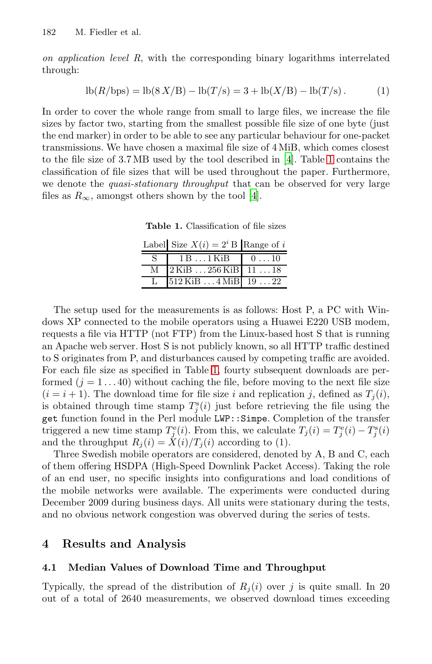<span id="page-3-2"></span>*on application level R*, with the co[rre](#page-10-6)spondi[ng](#page-3-1) binary logarithms interrelated through:

<span id="page-3-1"></span>
$$
lb(R/\text{bps}) = lb(8 X/B) - lb(T/s) = 3 + lb(X/B) - lb(T/s).
$$
 (1)

In order to cover the whole [ra](#page-10-6)nge from small to large files, we increase the file sizes by factor two, starting from the smallest possible file size of one byte (just the end marker) in order to be able to see any particular behaviour for one-packet transmissions. We have chosen a maximal file size of 4 MiB, which comes closest to the file size of 3.7 MB used by the tool described in [4]. Table 1 contains the classification of file sizes that will be used throughout the paper. Furthermore, we denote the *quasi-stationary throughput* that can be observed for very large files as  $R_{\infty}$ , amongst others shown by the tool [4].

**Table 1.** Classification of file sizes

|   | Label Size $X(i) = 2^i B$ Range of i             |  |
|---|--------------------------------------------------|--|
|   | $1 \quad 1B \dots 1KiB \quad 1 \quad 0 \dots 10$ |  |
| M | $2$ KiB 256 KiB 11 18                            |  |
|   | $512$ KiB 4 MiB 19 22                            |  |

<span id="page-3-0"></span>The setup used for the measurements is as follows: Host P, a PC with Windows XP connected to the mobile operators using a Huawei E220 USB modem, requests a file via HTTP (not FTP) from the Linux-based host S that is running an Apache web server. Host S is not publicly known, so all HTTP traffic destined to S originates from P, and disturbances caused by competing traffic are avoided. For each file size as specified in Table 1, fourty subsequent downloads are performed  $(j = 1 \ldots 40)$  without caching the file, before moving to the next file size  $(i = i + 1)$ . The download time for file size *i* and replication *j*, defined as  $T_i(i)$ , is obtained through time stamp  $T_j^s(i)$  just before retrieving the file using the get function found in the Perl module LWP::Simpe. Completion of the transfer triggered a new time stamp  $T_j^e(i)$ . From this, we calculate  $T_j(i) = T_j^e(i) - T_j^s(i)$ and the throughput  $R_i(i) = X(i)/T_i(i)$  according to (1).

Three Swedish mobile operators are considered, denoted by A, B and C, each of them offering HSDPA (High-Speed Downlink Packet Access). Taking the role of an end user, no specific insights into configurations and load conditions of the mobile networks were available. The experiments were conducted during December 2009 during business days. All units were stationary during the tests, and no obvious network congestion was obverved during the series of tests.

### **4 Results and Analysis**

#### **4.1 Median Values of Download Time and Throughput**

Typically, the spread of the distribution of  $R_i(i)$  over *j* is quite small. In 20 out of a total of 2640 measurements, we observed download times exceeding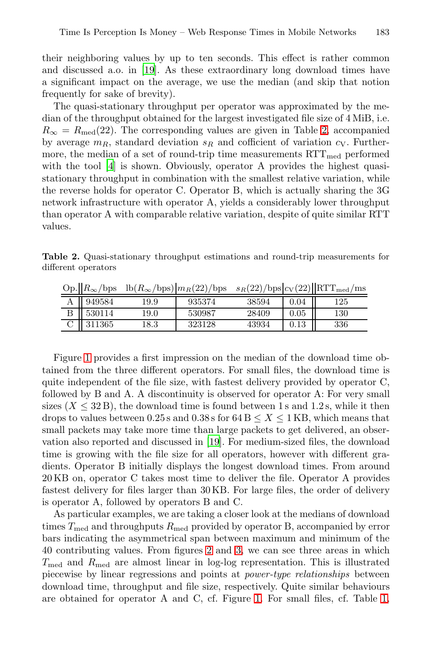<span id="page-4-0"></span>their neighboring values by up to ten seconds. This effect is rather common and discussed a.o. in [19]. As these extraordinary long download times have a significant impact on the average, we use the median (and skip that notion frequently for sake of brevity).

The quasi-stationary throughput per operator was approximated by the median of the throughput obtained for the largest investigated file size of 4 MiB, i.e.  $R_{\infty} = R_{\text{med}}(22)$ . The corresponding values are given in Table 2, accompanied by average  $m_R$ , standard deviation  $s_R$  and cofficient of variation  $c_V$ . Furthermore, the median of a set of round-trip time measurements  $RTT_{med}$  performed with the tool [4] is shown. Obviously, operator A provides the highest quasistationary throughput in combination with the smallest relative variation, while the reverse holds for operator C. Operator B, which is actually sharing the 3G network infrastructure with operator A, yields a considerably lower throughput than operator A with comparable relative variation, despite of quite similar RTT values.

**Table 2.** Quasi-stationary throughput estimations and round-trip measurements for different operators

| $Up.  R_{\infty}/bps$ |      | $10(R_{\infty}/pps)/m_R(22)/pps$ $s_R(22)/pps/c_V(22)/ KLT_{med}/ms$ |       |      |     |
|-----------------------|------|----------------------------------------------------------------------|-------|------|-----|
| 949584                | 19.9 | 935374                                                               | 38594 | 0.04 | 125 |
| 530114                | 19.0 | 530987                                                               | 28409 | 0.05 | 130 |
| 311365                | 18.3 | 323128                                                               | 43934 | 0.13 | 336 |

Op.  $|R_{\infty}/\text{bps}$  lb $(R_{\infty}/\text{bps})|m_R(22)/\text{bps}$  *s*<sub>R</sub>(22)/bps  $|c_V(22)| |\text{RTT}_{\text{med}}/ \text{ms}$ 

Figure 1 provid[es](#page-11-5) [a](#page-11-5) first impression on the median of the download time obtained from the three different operators. For small files, the download time is quite independent of the file size, with fastest delivery provided by operator C, followed by B and A. A discontinuity is observed for operator A: For very small sizes  $(X \leq 32B)$ , the download time is found between 1 s and 1.2 s, while it then drops to values between  $0.25 s$  and  $0.38 s$  for  $64 B \leq X \leq 1 \,\text{KB}$ , which means that small packets may take more time than large packets to get delivered, an observation also reported and discussed in [19]. For medium-sized files, the download time is growing w[ith](#page-5-0) the [fi](#page-5-1)le size for all operators, however with different gradients. Operator B initially displays the longest download times. From around 20 KB on, operator C takes most time to deliver the file. Operator A provides fastest delivery for files larger than 30KB. For large files, the order of delivery is operator A, followed by op[era](#page-5-2)tors B and C.

As particular examples, we are taking a closer look at the [m](#page-3-1)edians of download times  $T_{\text{med}}$  and throughputs  $R_{\text{med}}$  provided by operator B, accompanied by error bars indicating the asymmetrical span between maximum and minimum of the 40 contributing values. From figures 2 and 3, we can see three areas in which *T*med and *R*med are almost linear in log-log representation. This is illustrated piecewise by linear regressions and points at *power-type relationships* between download time, throughput and file size, respectively. Quite similar behaviours are obtained for operator A and C, cf. Figure 1. For small files, cf. Table 1,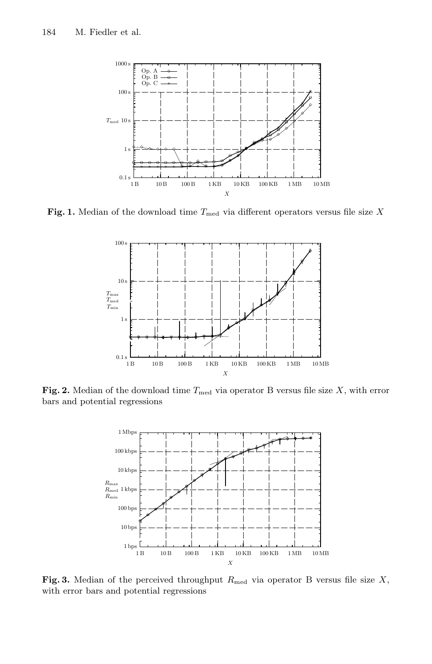<span id="page-5-2"></span>

**Fig. 1.** Median of the download time *T*med via different operators versus file size *X*

<span id="page-5-0"></span>

**Fig. 2.** Median of the download time *T*med via operator B versus file size *X*, with error bars and potential regressions

<span id="page-5-1"></span>

**Fig. 3.** Median of the perceived throughput *R*med via operator B versus file size *X*, with error bars and potential regressions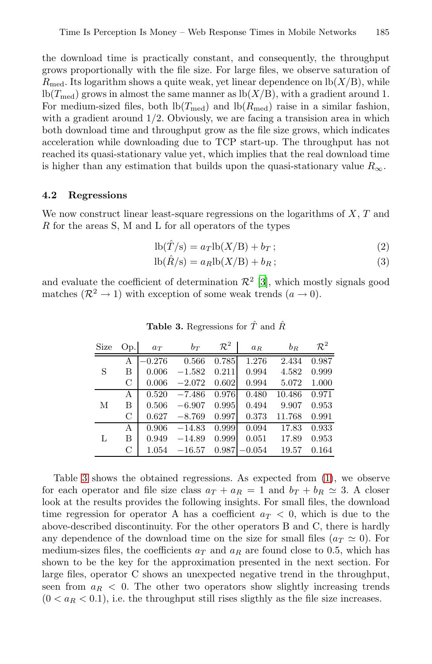<span id="page-6-1"></span>the download time is practically constant, and consequently, the throughput grows proportionally with the file size. For large files, we observe saturation of  $R_{\text{med}}$ . Its logarithm shows a quite weak, yet linear dependence on  $\text{lb}(X/\text{B})$ , while lb( $T_{\text{med}}$ ) grows in almost the same manner as  $\text{lb}(X/B)$ , with a gradient around 1. For medium-sized files, both  $\text{lb}(T_{\text{med}})$  and  $\text{lb}(R_{\text{med}})$  raise in a similar fashion, with a gradient around  $1/2$ . Obviously, we are facing a transision area in which both download time and throughput grow as the file size grows, which indicates acceleration while downloading due to TCP start-up. The throughput has not reached its quasi-stationary value yet, which implies that the real download time is higher than any estimation that builds upon the quasi-stationary value  $R_{\infty}$ .

#### **4.2 Regressions**

We now construct linear least-square regressions on the logarithms of *X*, *T* and *R* for the areas S, M and L for all operators of the types

<span id="page-6-0"></span>
$$
lb(\hat{T}/s) = a_T lb(X/B) + b_T;
$$
\n(2)

$$
lb(\hat{R}/s) = a_R lb(X/B) + b_R;
$$
\n(3)

and evaluate the coefficient of determination  $\mathcal{R}^2$  [3], which mostly signals good matches  $(\mathcal{R}^2 \to 1)$  with exception of some weak trends  $(a \to 0)$ .

| <b>Size</b> | Op. | $a_T$    | $b_T$    | $\mathcal{R}^2$ | $a_R$  | $b_R$  | $\mathcal{R}^2$ |
|-------------|-----|----------|----------|-----------------|--------|--------|-----------------|
|             | А   | $-0.276$ | 0.566    | 0.785           | 1.276  | 2.434  | 0.987           |
| S           | В   | 0.006    | $-1.582$ | 0.211           | 0.994  | 4.582  | 0.999           |
|             | С   | 0.006    | $-2.072$ | 0.602           | 0.994  | 5.072  | 1.000           |
| М           | A   | 0.520    | $-7.486$ | 0.976           | 0.480  | 10.486 | 0.971           |
|             | В   | 0.506    | $-6.907$ | 0.995           | 0.494  | 9.907  | 0.953           |
|             | С   | 0.627    | $-8.769$ | 0.997           | 0.373  | 11.768 | 0.991           |
| Τ.          | A   | 0.906    | $-14.83$ | 0.999           | 0.094  | 17.83  | 0.933           |
|             | В   | 0.949    | $-14.89$ | 0.999           | 0.051  | 17.89  | 0.953           |
|             | C   | 1.054    | $-16.57$ | 0.987           | -0.054 | 19.57  | 0.164           |

**Table 3.** Regressions for *T*ˆ and *R*ˆ

Table 3 shows the obtained regressions. As expected from (1), we observe for each operator and file size class  $a_T + a_R = 1$  and  $b_T + b_R \simeq 3$ . A closer look at the results provides the following insights. For small files, the download time regression for operator A has a coefficient  $a_T < 0$ , which is due to the above-described discontinuity. For the other operators B and C, there is hardly any dependence of the download time on the size for small files  $(a_T \simeq 0)$ . For medium-sizes files, the coefficients  $a_T$  and  $a_R$  are found close to 0.5, which has shown to be the key for the approximation presented in the next section. For large files, operator C shows an unexpected negative trend in the throughput, seen from  $a_R < 0$ . The other two operators show slightly increasing trends  $(0 < a_R < 0.1)$ , i.e. the throughput still rises sligthly as the file size increases.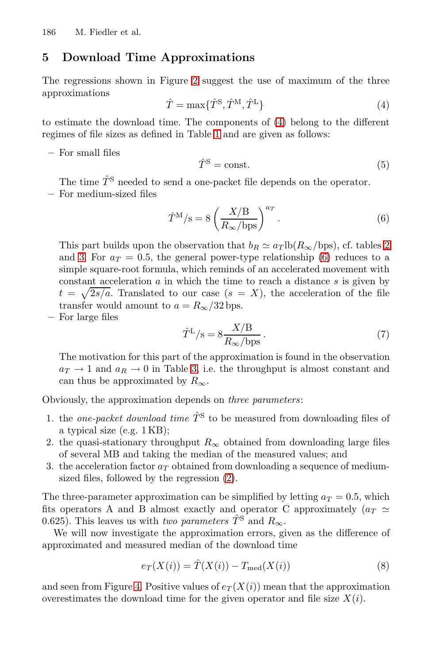# **5 Download Time Approximations**

The regressions shown in Figure 2 suggest the use of maximum of the three approximations

<span id="page-7-1"></span><span id="page-7-0"></span>
$$
\hat{T} = \max{\{\hat{T}^{\mathcal{S}}, \hat{T}^{\mathcal{M}}, \hat{T}^{\mathcal{L}}\}}
$$
\n(4)

to estimate the download time. The components of (4) belong to the different regimes of file sizes as defined in Table 1 and are given as follows:

**–** For small files

<span id="page-7-2"></span>
$$
\hat{T}^{\mathcal{S}} = \text{const.}\tag{5}
$$

The time  $\hat{T}^{\text{S}}$  needed to send a one-packet file depends on the operator. **–** For medium-sized files

$$
\hat{T}^{\mathrm{M}}/\mathrm{s} = 8 \left( \frac{X/\mathrm{B}}{R_{\infty}/\mathrm{bps}} \right)^{a_T} . \tag{6}
$$

This part builds upon the observation that  $b_R \simeq a_T \text{lb}(R_\infty/\text{bps})$ , cf. tables 2 and 3. For  $a_T = 0.5$ , the general power-type relationship (6) reduces to a simple square-root formula, which reminds of an accelerated movement with constant a[cce](#page-6-0)leration *a* in which the time to reach a distance *s* is given by  $t = \sqrt{2s/a}$ . Translated to our case  $(s = X)$ , the acceleration of the file transfer would amount to  $a = R_{\infty}/32$  bps.

**–** For large files

$$
\hat{T}^{\rm L}/\text{s} = 8 \frac{X/\text{B}}{R_{\infty}/\text{bps}}\,. \tag{7}
$$

The motivation for this part of the approximation is found in the observation  $a_T \rightarrow 1$  and  $a_R \rightarrow 0$  in Table 3, i.e. the throughput is almost constant and can thus be appro[xim](#page-6-1)ated by  $R_{\infty}$ .

Obviously, the approximation depends on *three parameters*:

- 1. the *one-packet download time*  $\hat{T}^{\text{S}}$  to be measured from downloading files of a typical size (e.g. 1 KB);
- 2. the quasi-stationary throughput  $R_{\infty}$  obtained from downloading large files of several MB and taking the median of the measured values; and
- 3. the acceleration factor  $a_T$  obtained from downloading a sequence of mediumsized files, followed by the regression (2).

T[he](#page-8-1) three-parameter approximation can be simplified by letting  $a_T = 0.5$ , which fits operators A and B almost exactly and operator C approximately  $(a_T \simeq$ 0.625). This leaves us with *two parameters*  $\hat{T}^{\rm S}$  and  $R_{\infty}$ .

We will now investigate the approximation errors, given as the difference of approximated and measured median of the download time

$$
e_T(X(i)) = \hat{T}(X(i)) - T_{\text{med}}(X(i))
$$
\n(8)

and seen from Figure 4. Positive values of  $e_T(X(i))$  mean that the approximation overestimates the download time for the given operator and file size  $X(i)$ .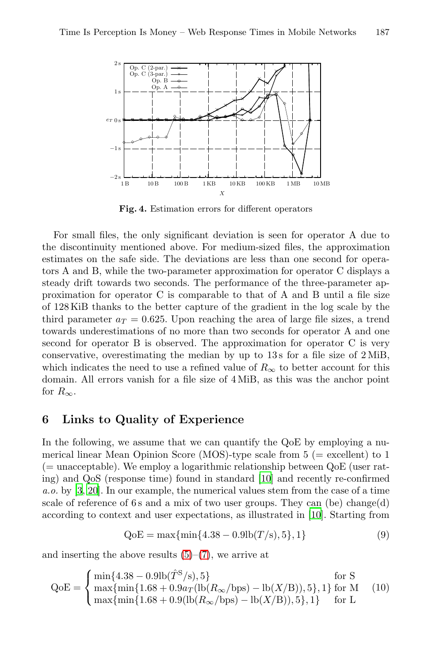<span id="page-8-1"></span>

**Fig. 4.** Estimation errors for different operators

<span id="page-8-0"></span>For small files, the only significant deviation is seen for operator A due to the discontinuity mentioned above. For medium-sized files, the approximation estimates on the safe side. The deviations are less than one second for operators A and B, while the two-parameter approximation for operator C displays a steady drift towards two seconds. The performance of the three-parameter approximation for operator C is comparable to that of A and B until a file size of 128 KiB thanks to the better capture of the gradient in the log scale by the third parameter  $a_T = 0.625$ . Upon reaching the area of large file sizes, a trend towards underestimations of no more than two seconds for operator A and one second for operator B is observed. The approximation for operator C is very conservative, overestimating the median by up to 13 s for a file size of 2 MiB, which indicates the need to use a refined value of  $R_{\infty}$  to better account for this domain. All errors vanish for [a fi](#page-10-4)le size of 4 MiB, as this was the anchor point for  $R_{\infty}$ .

### **6 Links to Quality of Experie[nce](#page-10-4)**

In the following, we assume that we can quantify the QoE by employing a numerical linear Mean Opinion Score (MOS)-type scale from  $5$  (= excellent) to 1  $(=$  unaccept[abl](#page-7-1)e)[.](#page-7-2) [W](#page-7-2)e employ a logarithmic relationship between  $\text{OoE}$  (user rating) and QoS (response time) found in standard [10] and recently re-confirmed *a.o.* by [3, 20]. In our example, the numerical values stem from the case of a time scale of reference of 6s and a mix of two user groups. They can (be) change(d) according to context and user expectations, as illustrated in [10]. Starting from

$$
QoE = \max\{\min\{4.38 - 0.9lb(T/s), 5\}, 1\}
$$
\n(9)

and inserting the above results  $(5)-(7)$ , we arrive at

$$
QoE = \begin{cases} \min\{4.38 - 0.9lb(\hat{T}^S/s), 5\} & \text{for S} \\ \max\{\min\{1.68 + 0.9a_T(lb(R_\infty/bps) - lb(X/B)), 5\}, 1\} & \text{for M} \\ \max\{\min\{1.68 + 0.9(lb(R_\infty/bps) - lb(X/B)), 5\}, 1\} & \text{for L} \end{cases}
$$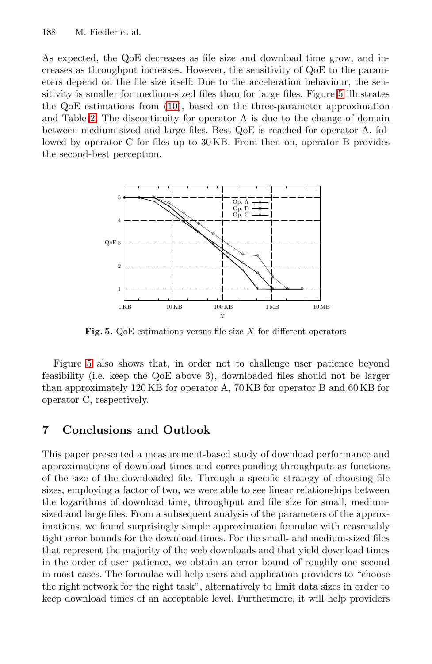As expected, the QoE decreases as file size and download time grow, and increases as throughput increases. However, the sensitivity of QoE to the parameters depend on the file size itself: Due to the acceleration behaviour, the sensitivity is smaller for medium-sized files than for large files. Figure 5 illustrates the QoE estimations from (10), based on the three-parameter approximation and Table 2. The discontinuity for operator A is due to the change of domain between medium-sized and large files. Best QoE is reached for operator A, followed by operator C for files up to 30 KB. From then on, operator B provides the second-best perception.



**Fig. 5.** QoE estimations versus file size *X* for different operators

Figure 5 also shows that, in order not to challenge user patience beyond feasibility (i.e. keep the QoE above 3), downloaded files should not be larger than approximately 120 KB for operator A, 70 KB for operator B and 60 KB for operator C, respectively.

# **7 Conclusions and Outlook**

This paper presented a measurement-based study of download performance and approximations of download times and corresponding throughputs as functions of the size of the downloaded file. Through a specific strategy of choosing file sizes, employing a factor of two, we were able to see linear relationships between the logarithms of download time, throughput and file size for small, mediumsized and large files. From a subsequent analysis of the parameters of the approximations, we found surprisingly simple approximation formulae with reasonably tight error bounds for the download times. For the small- and medium-sized files that represent the majority of the web downloads and that yield download times in the order of user patience, we obtain an error bound of roughly one second in most cases. The formulae will help users and application providers to "choose the right network for the right task", alternatively to limit data sizes in order to keep download times of an acceptable level. Furthermore, it will help providers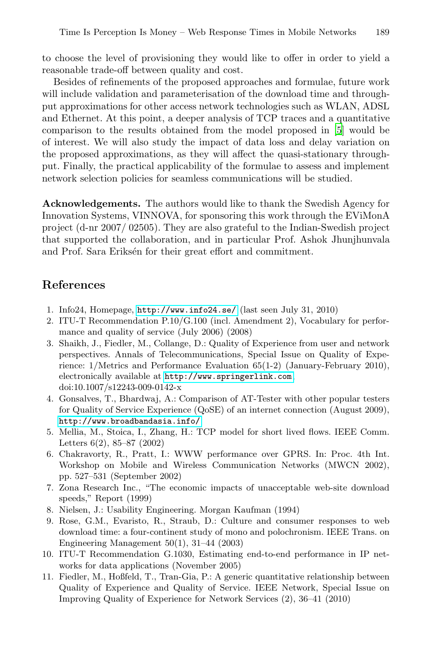to choose the level of provisioning they would like to offer in order to yield a reasonable trade-off between quality and cost.

<span id="page-10-0"></span>Besides of refinements of the proposed approaches and formulae, future work will include validation and parameterisation of the download time and throughput approximations for other access network technologies such as WLAN, ADSL and Ethernet. At this point, a deeper analysis of TCP traces and a quantitative comparison to the results obtained from the model proposed in [5] would be of interest. We will also study the impact of data loss and delay variation on the proposed approximations, as they will affect the quasi-stationary throughput. Finally, the practical applicability of the formulae to assess and implement network selection policies for seamless communications will be studied.

<span id="page-10-6"></span><span id="page-10-1"></span>**Acknowledgements.** The authors would like to thank the Swedish Agency for In[novation Systems, VINN](http://www.info24.se/)OVA, for sponsoring this work through the EViMonA project (d-nr 2007/ 02505). They are also grateful to the Indian-Swedish project that supported the collaboration, and in particular Prof. Ashok Jhunjhunvala and Prof. Sara Eriksen for their great effort and commitment.

### <span id="page-10-5"></span><span id="page-10-2"></span>**Refere[nces](http://www.springerlink.com)**

- <span id="page-10-3"></span>1. Info24, Homepage, http://www.info24.se/ (last seen July 31, 2010)
- 2. ITU-T Recommendation P.10/G.100 (incl. Amendment 2), Vocabulary for perfor[mance](http://www.broadbandasia.info/) [and](http://www.broadbandasia.info/) [qua](http://www.broadbandasia.info/)lity of service (July 2006) (2008)
- 3. Shaikh, J., Fiedler, M., Collange, D.: Quality of Experience from user and network perspectives. Annals of Telecommunications, Special Issue on Quality of Experience: 1/Metrics and Performance Evaluation 65(1-2) (January-February 2010), electronically available at http://www.springerlink.com, doi:10.1007/s12243-009-0142-x
- <span id="page-10-4"></span>4. Gonsalves, T., Bhardwaj, A.: Comparison of AT-Tester with other popular testers for Quality of Service Experience (QoSE) of an internet connection (August 2009), http://www.broadbandasia.info/
- 5. Mellia, M., Stoica, I., Zhang, H.: TCP model for short lived flows. IEEE Comm. Letters 6(2), 85–87 (2002)
- 6. Chakravorty, R., Pratt, I.: WWW performance over GPRS. In: Proc. 4th Int. Workshop on Mobile and Wireless Communication Networks (MWCN 2002), pp. 527–531 (September 2002)
- 7. Zona Research Inc., "The economic impacts of unacceptable web-site download speeds," Report (1999)
- 8. Nielsen, J.: Usability Engineering. Morgan Kaufman (1994)
- 9. Rose, G.M., Evaristo, R., Straub, D.: Culture and consumer responses to web download time: a four-continent study of mono and polochronism. IEEE Trans. on Engineering Management 50(1), 31–44 (2003)
- 10. ITU-T Recommendation G.1030, Estimating end-to-end performance in IP networks for data applications (November 2005)
- 11. Fiedler, M., Hoßfeld, T., Tran-Gia, P.: A generic quantitative relationship between Quality of Experience and Quality of Service. IEEE Network, Special Issue on Improving Quality of Experience for Network Services (2), 36–41 (2010)